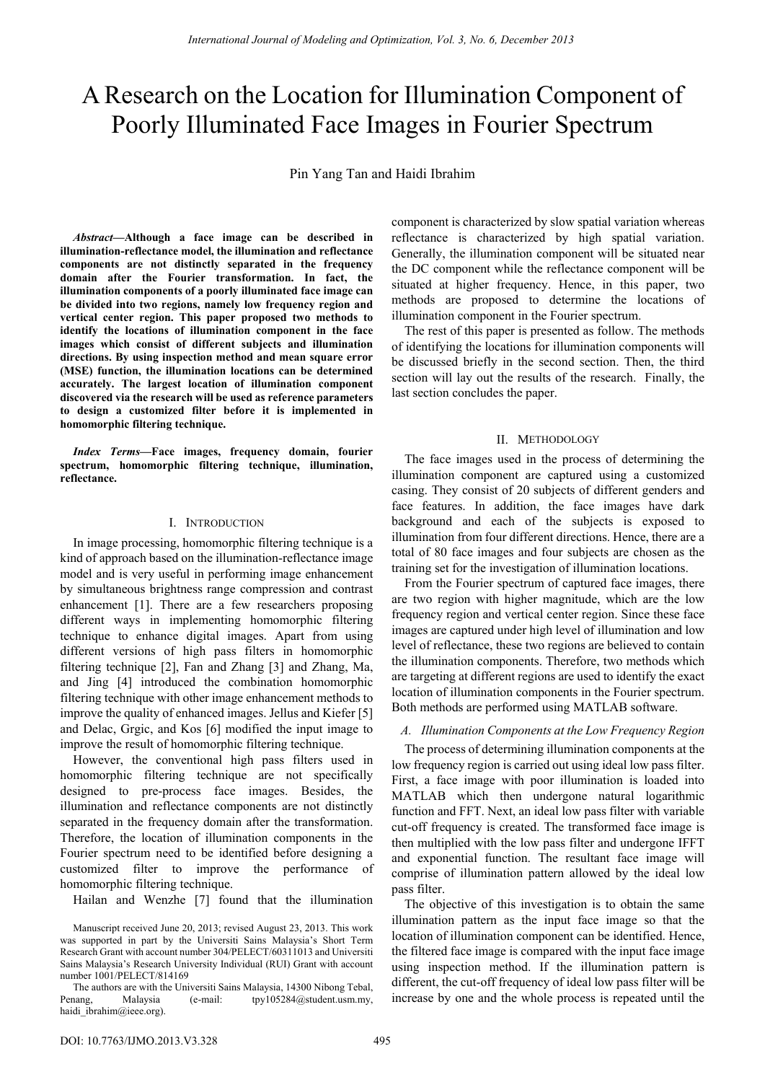# A Research on the Location for Illumination Component of Poorly Illuminated Face Images in Fourier Spectrum

Pin Yang Tan and Haidi Ibrahim

*Abstract***—Although a face image can be described in illumination-reflectance model, the illumination and reflectance components are not distinctly separated in the frequency domain after the Fourier transformation. In fact, the illumination components of a poorly illuminated face image can be divided into two regions, namely low frequency region and vertical center region. This paper proposed two methods to identify the locations of illumination component in the face images which consist of different subjects and illumination directions. By using inspection method and mean square error (MSE) function, the illumination locations can be determined accurately. The largest location of illumination component discovered via the research will be used as reference parameters to design a customized filter before it is implemented in homomorphic filtering technique.** 

*Index Terms***—Face images, frequency domain, fourier spectrum, homomorphic filtering technique, illumination, reflectance.** 

## I. INTRODUCTION

In image processing, homomorphic filtering technique is a kind of approach based on the illumination-reflectance image model and is very useful in performing image enhancement by simultaneous brightness range compression and contrast enhancement [1]. There are a few researchers proposing different ways in implementing homomorphic filtering technique to enhance digital images. Apart from using different versions of high pass filters in homomorphic filtering technique [2], Fan and Zhang [3] and Zhang, Ma, and Jing [4] introduced the combination homomorphic filtering technique with other image enhancement methods to improve the quality of enhanced images. Jellus and Kiefer [5] and Delac, Grgic, and Kos [6] modified the input image to improve the result of homomorphic filtering technique.

However, the conventional high pass filters used in homomorphic filtering technique are not specifically designed to pre-process face images. Besides, the illumination and reflectance components are not distinctly separated in the frequency domain after the transformation. Therefore, the location of illumination components in the Fourier spectrum need to be identified before designing a customized filter to improve the performance of homomorphic filtering technique.

Hailan and Wenzhe [7] found that the illumination

component is characterized by slow spatial variation whereas reflectance is characterized by high spatial variation. Generally, the illumination component will be situated near the DC component while the reflectance component will be situated at higher frequency. Hence, in this paper, two methods are proposed to determine the locations of illumination component in the Fourier spectrum.

The rest of this paper is presented as follow. The methods of identifying the locations for illumination components will be discussed briefly in the second section. Then, the third section will lay out the results of the research. Finally, the last section concludes the paper.

## II. METHODOLOGY

The face images used in the process of determining the illumination component are captured using a customized casing. They consist of 20 subjects of different genders and face features. In addition, the face images have dark background and each of the subjects is exposed to illumination from four different directions. Hence, there are a total of 80 face images and four subjects are chosen as the training set for the investigation of illumination locations.

From the Fourier spectrum of captured face images, there are two region with higher magnitude, which are the low frequency region and vertical center region. Since these face images are captured under high level of illumination and low level of reflectance, these two regions are believed to contain the illumination components. Therefore, two methods which are targeting at different regions are used to identify the exact location of illumination components in the Fourier spectrum. Both methods are performed using MATLAB software.

# *A. Illumination Components at the Low Frequency Region*

The process of determining illumination components at the low frequency region is carried out using ideal low pass filter. First, a face image with poor illumination is loaded into MATLAB which then undergone natural logarithmic function and FFT. Next, an ideal low pass filter with variable cut-off frequency is created. The transformed face image is then multiplied with the low pass filter and undergone IFFT and exponential function. The resultant face image will comprise of illumination pattern allowed by the ideal low pass filter.

The objective of this investigation is to obtain the same illumination pattern as the input face image so that the location of illumination component can be identified. Hence, the filtered face image is compared with the input face image using inspection method. If the illumination pattern is different, the cut-off frequency of ideal low pass filter will be increase by one and the whole process is repeated until the

Manuscript received June 20, 2013; revised August 23, 2013. This work was supported in part by the Universiti Sains Malaysia's Short Term Research Grant with account number 304/PELECT/60311013 and Universiti Sains Malaysia's Research University Individual (RUI) Grant with account number 1001/PELECT/814169

The authors are with the Universiti Sains Malaysia, 14300 Nibong Tebal, Penang, Malaysia (e-mail: tpy105284@student.usm.my, haidi ibrahim@ieee.org).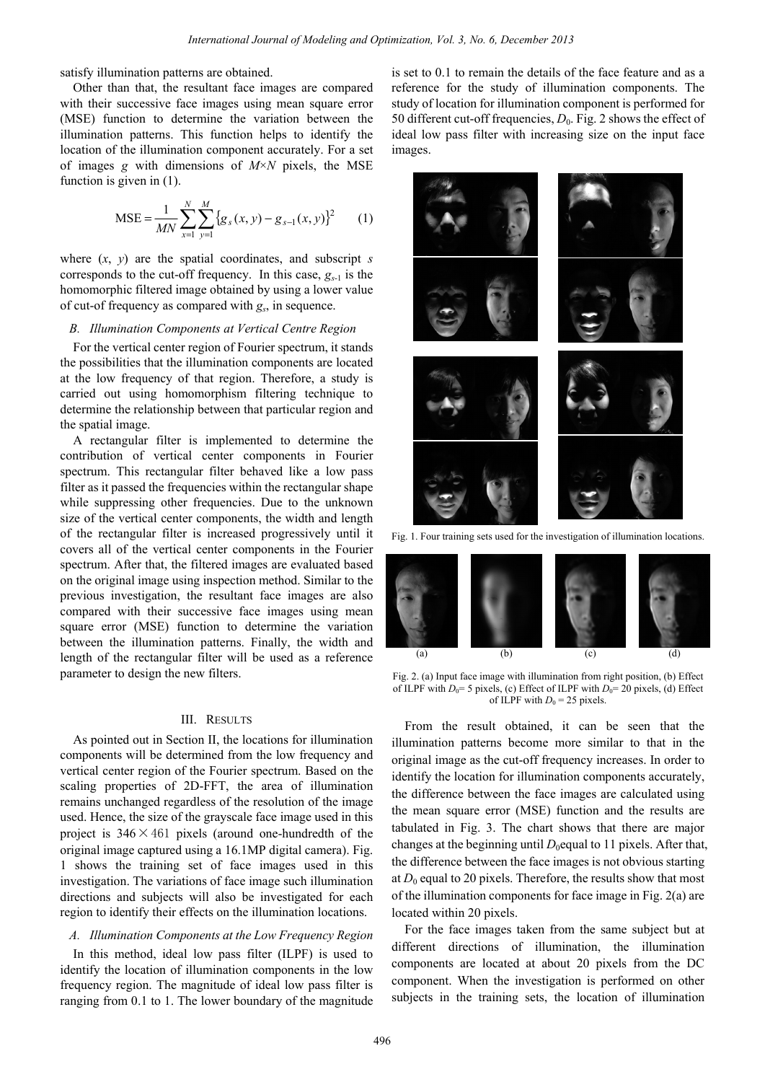satisfy illumination patterns are obtained.

Other than that, the resultant face images are compared with their successive face images using mean square error (MSE) function to determine the variation between the illumination patterns. This function helps to identify the location of the illumination component accurately. For a set of images *g* with dimensions of *M*×*N* pixels, the MSE function is given in (1).

$$
MSE = \frac{1}{MN} \sum_{x=1}^{N} \sum_{y=1}^{M} \{g_s(x, y) - g_{s-1}(x, y)\}^2
$$
 (1)

where (*x*, *y*) are the spatial coordinates, and subscript *s* corresponds to the cut-off frequency. In this case,  $g_{s-1}$  is the homomorphic filtered image obtained by using a lower value of cut-of frequency as compared with *gs*, in sequence.

# *B. Illumination Components at Vertical Centre Region*

For the vertical center region of Fourier spectrum, it stands the possibilities that the illumination components are located at the low frequency of that region. Therefore, a study is carried out using homomorphism filtering technique to determine the relationship between that particular region and the spatial image.

A rectangular filter is implemented to determine the contribution of vertical center components in Fourier spectrum. This rectangular filter behaved like a low pass filter as it passed the frequencies within the rectangular shape while suppressing other frequencies. Due to the unknown size of the vertical center components, the width and length of the rectangular filter is increased progressively until it covers all of the vertical center components in the Fourier spectrum. After that, the filtered images are evaluated based on the original image using inspection method. Similar to the previous investigation, the resultant face images are also compared with their successive face images using mean square error (MSE) function to determine the variation between the illumination patterns. Finally, the width and length of the rectangular filter will be used as a reference parameter to design the new filters.

#### III. RESULTS

As pointed out in Section II, the locations for illumination components will be determined from the low frequency and vertical center region of the Fourier spectrum. Based on the scaling properties of 2D-FFT, the area of illumination remains unchanged regardless of the resolution of the image used. Hence, the size of the grayscale face image used in this project is  $346 \times 461$  pixels (around one-hundredth of the original image captured using a 16.1MP digital camera). Fig. 1 shows the training set of face images used in this investigation. The variations of face image such illumination directions and subjects will also be investigated for each region to identify their effects on the illumination locations.

## *A. Illumination Components at the Low Frequency Region*

In this method, ideal low pass filter (ILPF) is used to identify the location of illumination components in the low frequency region. The magnitude of ideal low pass filter is ranging from 0.1 to 1. The lower boundary of the magnitude is set to 0.1 to remain the details of the face feature and as a reference for the study of illumination components. The study of location for illumination component is performed for 50 different cut-off frequencies,  $D_0$ . Fig. 2 shows the effect of ideal low pass filter with increasing size on the input face images.



Fig. 1. Four training sets used for the investigation of illumination locations.



Fig. 2. (a) Input face image with illumination from right position, (b) Effect of ILPF with  $D_0$ = 5 pixels, (c) Effect of ILPF with  $D_0$ = 20 pixels, (d) Effect of ILPF with  $D_0 = 25$  pixels.

From the result obtained, it can be seen that the illumination patterns become more similar to that in the original image as the cut-off frequency increases. In order to identify the location for illumination components accurately, the difference between the face images are calculated using the mean square error (MSE) function and the results are tabulated in Fig. 3. The chart shows that there are major changes at the beginning until  $D_0$  equal to 11 pixels. After that, the difference between the face images is not obvious starting at  $D_0$  equal to 20 pixels. Therefore, the results show that most of the illumination components for face image in Fig. 2(a) are located within 20 pixels.

For the face images taken from the same subject but at different directions of illumination, the illumination components are located at about 20 pixels from the DC component. When the investigation is performed on other subjects in the training sets, the location of illumination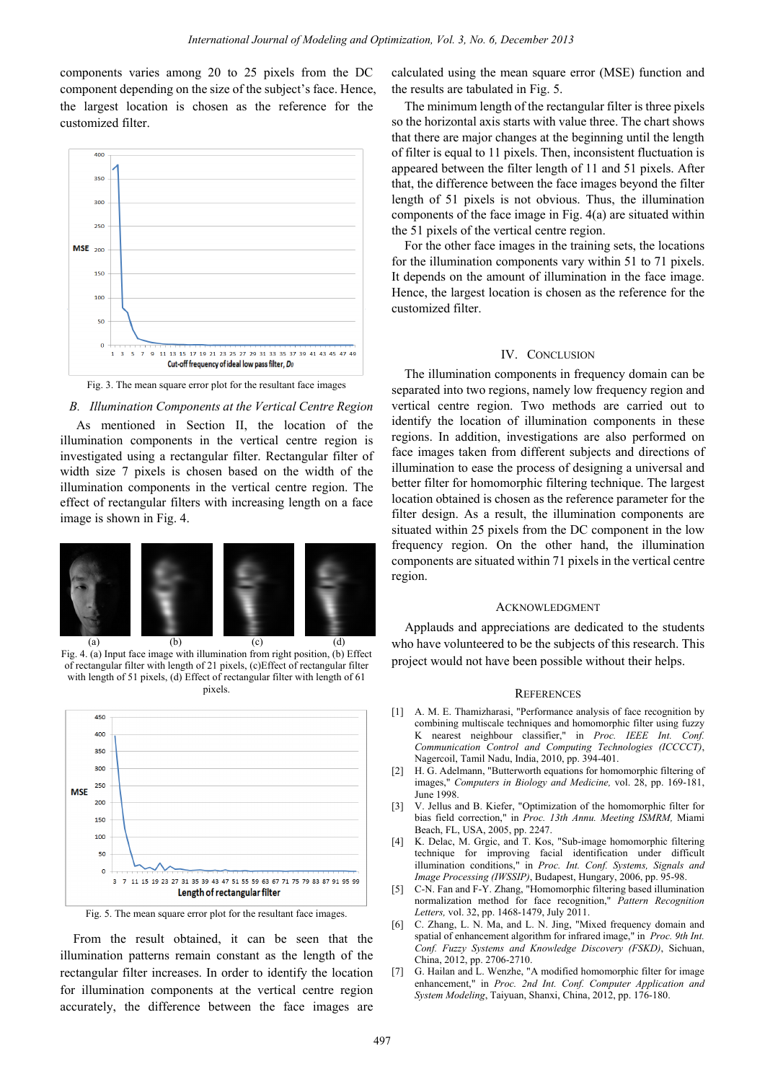components varies among 20 to 25 pixels from the DC component depending on the size of the subject's face. Hence, the largest location is chosen as the reference for the customized filter.



Fig. 3. The mean square error plot for the resultant face images

#### *B. Illumination Components at the Vertical Centre Region*

 As mentioned in Section II, the location of the illumination components in the vertical centre region is investigated using a rectangular filter. Rectangular filter of width size 7 pixels is chosen based on the width of the illumination components in the vertical centre region. The effect of rectangular filters with increasing length on a face image is shown in Fig. 4.



Fig. 4. (a) Input face image with illumination from right position, (b) Effect of rectangular filter with length of 21 pixels, (c)Effect of rectangular filter with length of 51 pixels, (d) Effect of rectangular filter with length of 61 pixels.



Fig. 5. The mean square error plot for the resultant face images.

From the result obtained, it can be seen that the illumination patterns remain constant as the length of the rectangular filter increases. In order to identify the location for illumination components at the vertical centre region accurately, the difference between the face images are

calculated using the mean square error (MSE) function and the results are tabulated in Fig. 5.

The minimum length of the rectangular filter is three pixels so the horizontal axis starts with value three. The chart shows that there are major changes at the beginning until the length of filter is equal to 11 pixels. Then, inconsistent fluctuation is appeared between the filter length of 11 and 51 pixels. After that, the difference between the face images beyond the filter length of 51 pixels is not obvious. Thus, the illumination components of the face image in Fig. 4(a) are situated within the 51 pixels of the vertical centre region.

For the other face images in the training sets, the locations for the illumination components vary within 51 to 71 pixels. It depends on the amount of illumination in the face image. Hence, the largest location is chosen as the reference for the customized filter.

#### IV. CONCLUSION

The illumination components in frequency domain can be separated into two regions, namely low frequency region and vertical centre region. Two methods are carried out to identify the location of illumination components in these regions. In addition, investigations are also performed on face images taken from different subjects and directions of illumination to ease the process of designing a universal and better filter for homomorphic filtering technique. The largest location obtained is chosen as the reference parameter for the filter design. As a result, the illumination components are situated within 25 pixels from the DC component in the low frequency region. On the other hand, the illumination components are situated within 71 pixels in the vertical centre region.

#### ACKNOWLEDGMENT

Applauds and appreciations are dedicated to the students who have volunteered to be the subjects of this research. This project would not have been possible without their helps.

#### **REFERENCES**

- [1] A. M. E. Thamizharasi, "Performance analysis of face recognition by combining multiscale techniques and homomorphic filter using fuzzy K nearest neighbour classifier," in *Proc. IEEE Int. Conf. Communication Control and Computing Technologies (ICCCCT)*, Nagercoil, Tamil Nadu, India, 2010, pp. 394-401.
- [2] H. G. Adelmann, "Butterworth equations for homomorphic filtering of images," *Computers in Biology and Medicine,* vol. 28, pp. 169-181, June 1998.
- [3] V. Jellus and B. Kiefer, "Optimization of the homomorphic filter for bias field correction," in *Proc. 13th Annu. Meeting ISMRM,* Miami Beach, FL, USA, 2005, pp. 2247.
- [4] K. Delac, M. Grgic, and T. Kos, "Sub-image homomorphic filtering technique for improving facial identification under difficult illumination conditions," in *Proc. Int. Conf. Systems, Signals and Image Processing (IWSSIP)*, Budapest, Hungary, 2006, pp. 95-98.
- [5] C-N. Fan and F-Y. Zhang, "Homomorphic filtering based illumination normalization method for face recognition," *Pattern Recognition Letters,* vol. 32, pp. 1468-1479, July 2011.
- [6] C. Zhang, L. N. Ma, and L. N. Jing, "Mixed frequency domain and spatial of enhancement algorithm for infrared image," in *Proc. 9th Int. Conf. Fuzzy Systems and Knowledge Discovery (FSKD)*, Sichuan, China, 2012, pp. 2706-2710.
- [7] G. Hailan and L. Wenzhe, "A modified homomorphic filter for image enhancement," in *Proc. 2nd Int. Conf. Computer Application and System Modeling*, Taiyuan, Shanxi, China, 2012, pp. 176-180.